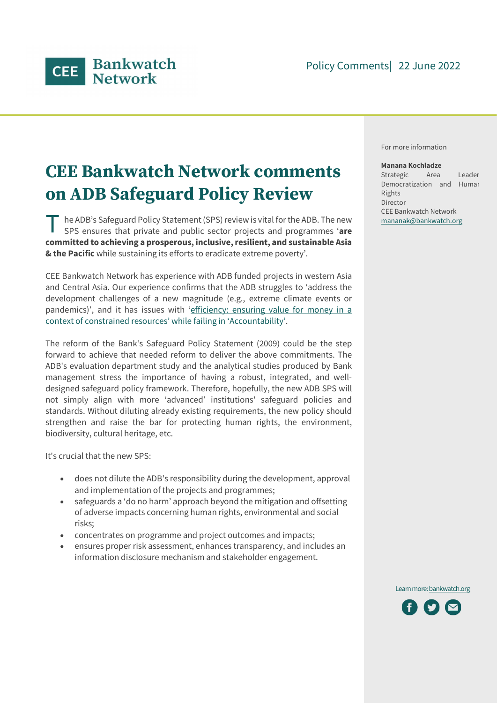

# CEE Bankwatch Network comments on ADB Safeguard Policy Review

he ADB's Safeguard Policy Statement (SPS) review is vital for the ADB. The new The ADB's Safeguard Policy Statement (SPS) review is vital for the ADB. The new<br>SPS ensures that private and public sector projects and programmes 'are committed to achieving a prosperous, inclusive, resilient, and sustainable Asia & the Pacific while sustaining its efforts to eradicate extreme poverty'.

CEE Bankwatch Network has experience with ADB funded projects in western Asia and Central Asia. Our experience confirms that the ADB struggles to 'address the development challenges of a new magnitude (e.g., extreme climate events or pandemics)', and it has issues with 'efficiency: ensuring value for money in a context of constrained resources' while failing in 'Accountability'. The reform of the Bank's Safeguard Policy Statement (2009) could be the step

forward to achieve that needed reform to deliver the above commitments. The ADB's evaluation department study and the analytical studies produced by Bank management stress the importance of having a robust, integrated, and welldesigned safeguard policy framework. Therefore, hopefully, the new ADB SPS will not simply align with more 'advanced' institutions' safeguard policies and standards. Without diluting already existing requirements, the new policy should strengthen and raise the bar for protecting human rights, the environment, biodiversity, cultural heritage, etc.

It's crucial that the new SPS:

- does not dilute the ADB's responsibility during the development, approval and implementation of the projects and programmes;
- safeguards a 'do no harm' approach beyond the mitigation and offsetting of adverse impacts concerning human rights, environmental and social risks;
- concentrates on programme and project outcomes and impacts;
- ensures proper risk assessment, enhances transparency, and includes an information disclosure mechanism and stakeholder engagement.

For more information

#### Manana Kochladze

Strategic Area Leader: Democratization and Human Rights Director CEE Bankwatch Network mananak@bankwatch.org



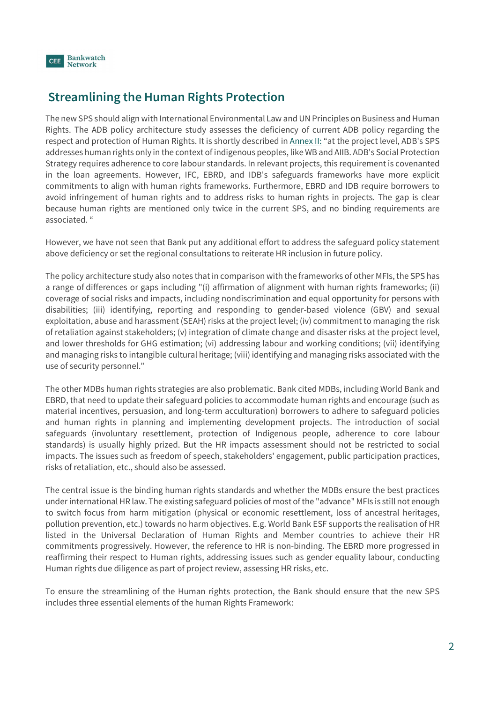

## Streamlining the Human Rights Protection

The new SPS should align with International Environmental Law and UN Principles on Business and Human Rights. The ADB policy architecture study assesses the deficiency of current ADB policy regarding the respect and protection of Human Rights. It is shortly described in Annex II: "at the project level, ADB's SPS addresses human rights only in the context of indigenous peoples, like WB and AIIB. ADB's Social Protection Strategy requires adherence to core labour standards. In relevant projects, this requirement is covenanted in the loan agreements. However, IFC, EBRD, and IDB's safeguards frameworks have more explicit commitments to align with human rights frameworks. Furthermore, EBRD and IDB require borrowers to avoid infringement of human rights and to address risks to human rights in projects. The gap is clear because human rights are mentioned only twice in the current SPS, and no binding requirements are associated. "

However, we have not seen that Bank put any additional effort to address the safeguard policy statement above deficiency or set the regional consultations to reiterate HR inclusion in future policy.

The policy architecture study also notes that in comparison with the frameworks of other MFIs, the SPS has a range of differences or gaps including "(i) affirmation of alignment with human rights frameworks; (ii) coverage of social risks and impacts, including nondiscrimination and equal opportunity for persons with disabilities; (iii) identifying, reporting and responding to gender-based violence (GBV) and sexual exploitation, abuse and harassment (SEAH) risks at the project level; (iv) commitment to managing the risk of retaliation against stakeholders; (v) integration of climate change and disaster risks at the project level, and lower thresholds for GHG estimation; (vi) addressing labour and working conditions; (vii) identifying and managing risks to intangible cultural heritage; (viii) identifying and managing risks associated with the use of security personnel."

The other MDBs human rights strategies are also problematic. Bank cited MDBs, including World Bank and EBRD, that need to update their safeguard policies to accommodate human rights and encourage (such as material incentives, persuasion, and long-term acculturation) borrowers to adhere to safeguard policies and human rights in planning and implementing development projects. The introduction of social safeguards (involuntary resettlement, protection of Indigenous people, adherence to core labour standards) is usually highly prized. But the HR impacts assessment should not be restricted to social impacts. The issues such as freedom of speech, stakeholders' engagement, public participation practices, risks of retaliation, etc., should also be assessed.

The central issue is the binding human rights standards and whether the MDBs ensure the best practices under international HR law. The existing safeguard policies of most of the "advance" MFIs is still not enough to switch focus from harm mitigation (physical or economic resettlement, loss of ancestral heritages, pollution prevention, etc.) towards no harm objectives. E.g. World Bank ESF supports the realisation of HR listed in the Universal Declaration of Human Rights and Member countries to achieve their HR commitments progressively. However, the reference to HR is non-binding. The EBRD more progressed in reaffirming their respect to Human rights, addressing issues such as gender equality labour, conducting Human rights due diligence as part of project review, assessing HR risks, etc.

To ensure the streamlining of the Human rights protection, the Bank should ensure that the new SPS includes three essential elements of the human Rights Framework: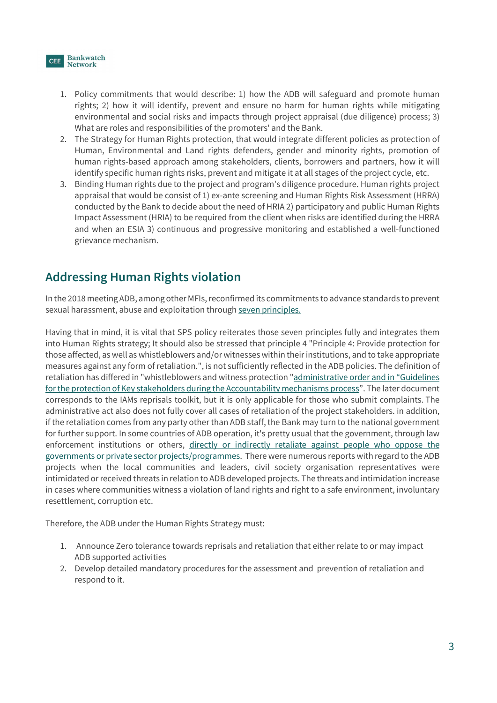

- 1. Policy commitments that would describe: 1) how the ADB will safeguard and promote human rights; 2) how it will identify, prevent and ensure no harm for human rights while mitigating environmental and social risks and impacts through project appraisal (due diligence) process; 3) What are roles and responsibilities of the promoters' and the Bank.
- 2. The Strategy for Human Rights protection, that would integrate different policies as protection of Human, Environmental and Land rights defenders, gender and minority rights, promotion of human rights-based approach among stakeholders, clients, borrowers and partners, how it will identify specific human rights risks, prevent and mitigate it at all stages of the project cycle, etc.
- 3. Binding Human rights due to the project and program's diligence procedure. Human rights project appraisal that would be consist of 1) ex-ante screening and Human Rights Risk Assessment (HRRA) conducted by the Bank to decide about the need of HRIA 2) participatory and public Human Rights Impact Assessment (HRIA) to be required from the client when risks are identified during the HRRA and when an ESIA 3) continuous and progressive monitoring and established a well-functioned grievance mechanism.

## Addressing Human Rights violation

In the 2018 meeting ADB, among other MFIs, reconfirmed its commitments to advance standards to prevent sexual harassment, abuse and exploitation through seven principles.

Having that in mind, it is vital that SPS policy reiterates those seven principles fully and integrates them into Human Rights strategy; It should also be stressed that principle 4 "Principle 4: Provide protection for those affected, as well as whistleblowers and/or witnesses within their institutions, and to take appropriate measures against any form of retaliation.", is not sufficiently reflected in the ADB policies. The definition of retaliation has differed in "whistleblowers and witness protection "administrative order and in "Guidelines for the protection of Key stakeholders during the Accountability mechanisms process". The later document corresponds to the IAMs reprisals toolkit, but it is only applicable for those who submit complaints. The administrative act also does not fully cover all cases of retaliation of the project stakeholders. in addition, if the retaliation comes from any party other than ADB staff, the Bank may turn to the national government for further support. In some countries of ADB operation, it's pretty usual that the government, through law enforcement institutions or others, directly or indirectly retaliate against people who oppose the governments or private sector projects/programmes. There were numerous reports with regard to the ADB projects when the local communities and leaders, civil society organisation representatives were intimidated or received threats in relation to ADB developed projects. The threats and intimidation increase in cases where communities witness a violation of land rights and right to a safe environment, involuntary resettlement, corruption etc.

Therefore, the ADB under the Human Rights Strategy must:

- 1. Announce Zero tolerance towards reprisals and retaliation that either relate to or may impact ADB supported activities
- 2. Develop detailed mandatory procedures for the assessment and prevention of retaliation and respond to it.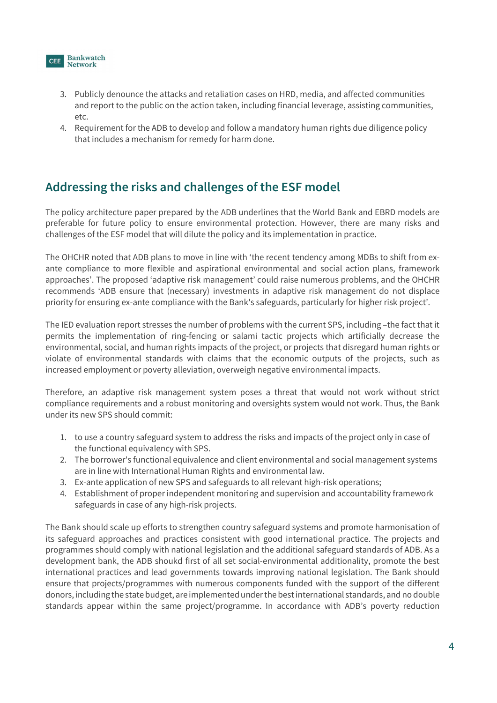

- 3. Publicly denounce the attacks and retaliation cases on HRD, media, and affected communities and report to the public on the action taken, including financial leverage, assisting communities, etc.
- 4. Requirement for the ADB to develop and follow a mandatory human rights due diligence policy that includes a mechanism for remedy for harm done.

#### Addressing the risks and challenges of the ESF model

The policy architecture paper prepared by the ADB underlines that the World Bank and EBRD models are preferable for future policy to ensure environmental protection. However, there are many risks and challenges of the ESF model that will dilute the policy and its implementation in practice.

The OHCHR noted that ADB plans to move in line with 'the recent tendency among MDBs to shift from exante compliance to more flexible and aspirational environmental and social action plans, framework approaches'. The proposed 'adaptive risk management' could raise numerous problems, and the OHCHR recommends 'ADB ensure that (necessary) investments in adaptive risk management do not displace priority for ensuring ex-ante compliance with the Bank's safeguards, particularly for higher risk project'.

The IED evaluation report stresses the number of problems with the current SPS, including –the fact that it permits the implementation of ring-fencing or salami tactic projects which artificially decrease the environmental, social, and human rights impacts of the project, or projects that disregard human rights or violate of environmental standards with claims that the economic outputs of the projects, such as increased employment or poverty alleviation, overweigh negative environmental impacts.

Therefore, an adaptive risk management system poses a threat that would not work without strict compliance requirements and a robust monitoring and oversights system would not work. Thus, the Bank under its new SPS should commit:

- 1. to use a country safeguard system to address the risks and impacts of the project only in case of the functional equivalency with SPS.
- 2. The borrower's functional equivalence and client environmental and social management systems are in line with International Human Rights and environmental law.
- 3. Ex-ante application of new SPS and safeguards to all relevant high-risk operations;
- 4. Establishment of proper independent monitoring and supervision and accountability framework safeguards in case of any high-risk projects.

The Bank should scale up efforts to strengthen country safeguard systems and promote harmonisation of its safeguard approaches and practices consistent with good international practice. The projects and programmes should comply with national legislation and the additional safeguard standards of ADB. As a development bank, the ADB shoukd first of all set social-environmental additionality, promote the best international practices and lead governments towards improving national legislation. The Bank should ensure that projects/programmes with numerous components funded with the support of the different donors, including the state budget, are implemented under the best international standards, and no double standards appear within the same project/programme. In accordance with ADB's poverty reduction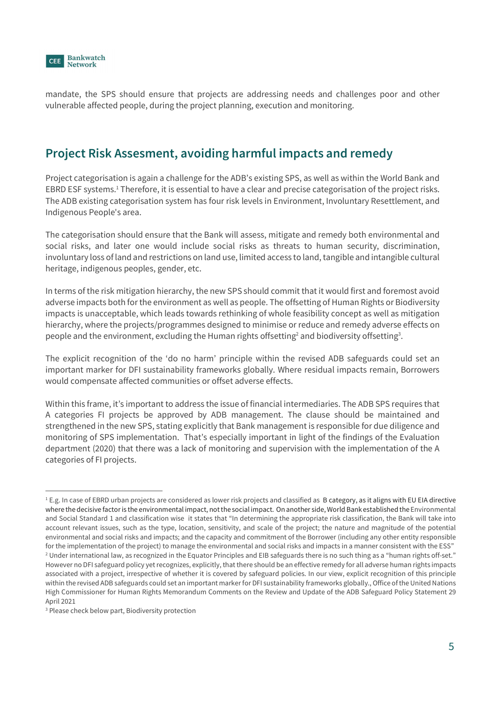

mandate, the SPS should ensure that projects are addressing needs and challenges poor and other vulnerable affected people, during the project planning, execution and monitoring.

#### Project Risk Assesment, avoiding harmful impacts and remedy

Project categorisation is again a challenge for the ADB's existing SPS, as well as within the World Bank and EBRD ESF systems.<sup>1</sup> Therefore, it is essential to have a clear and precise categorisation of the project risks. The ADB existing categorisation system has four risk levels in Environment, Involuntary Resettlement, and Indigenous People's area.

The categorisation should ensure that the Bank will assess, mitigate and remedy both environmental and social risks, and later one would include social risks as threats to human security, discrimination, involuntary loss of land and restrictions on land use, limited access to land, tangible and intangible cultural heritage, indigenous peoples, gender, etc.

In terms of the risk mitigation hierarchy, the new SPS should commit that it would first and foremost avoid adverse impacts both for the environment as well as people. The offsetting of Human Rights or Biodiversity impacts is unacceptable, which leads towards rethinking of whole feasibility concept as well as mitigation hierarchy, where the projects/programmes designed to minimise or reduce and remedy adverse effects on people and the environment, excluding the Human rights offsetting<sup>2</sup> and biodiversity offsetting<sup>3</sup>.

. The explicit recognition of the 'do no harm' principle within the revised ADB safeguards could set an important marker for DFI sustainability frameworks globally. Where residual impacts remain, Borrowers would compensate affected communities or offset adverse effects.

Within this frame, it's important to address the issue of financial intermediaries. The ADB SPS requires that A categories FI projects be approved by ADB management. The clause should be maintained and strengthened in the new SPS, stating explicitly that Bank management is responsible for due diligence and monitoring of SPS implementation. That's especially important in light of the findings of the Evaluation department (2020) that there was a lack of monitoring and supervision with the implementation of the A categories of FI projects. 1

<sup>&</sup>lt;sup>1</sup> E.g. In case of EBRD urban projects are considered as lower risk projects and classified as B category, as it aligns with EU EIA directive where the decisive factor is the environmental impact, not the social impact. On another side, World Bank established the Environmental and Social Standard 1 and classification wise it states that "In determining the appropriate risk classification, the Bank will take into account relevant issues, such as the type, location, sensitivity, and scale of the project; the nature and magnitude of the potential environmental and social risks and impacts; and the capacity and commitment of the Borrower (including any other entity responsible for the implementation of the project) to manage the environmental and social risks and impacts in a manner consistent with the ESS" 2 Under international law, as recognized in the Equator Principles and EIB safeguards there is no such thing as a "human rights off-set." However no DFI safeguard policy yet recognizes, explicitly, that there should be an effective remedy for all adverse human rights impacts associated with a project, irrespective of whether it is covered by safeguard policies. In our view, explicit recognition of this principle within the revised ADB safeguards could set an important marker for DFI sustainability frameworks globally., Office of the United Nations High Commissioner for Human Rights Memorandum Comments on the Review and Update of the ADB Safeguard Policy Statement 29

April 2021<br><sup>3</sup> Please check below part, Biodiversity protection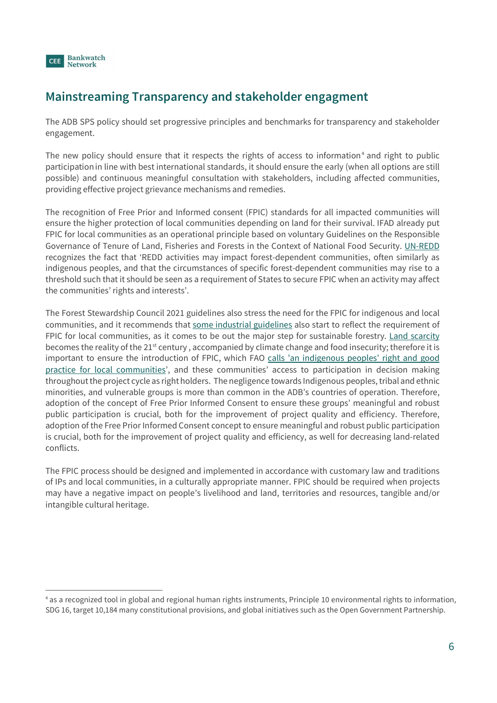

# Mainstreaming Transparency and stakeholder engagment

The ADB SPS policy should set progressive principles and benchmarks for transparency and stakeholder engagement.

The new policy should ensure that it respects the rights of access to information<sup>4</sup> and right to public participationin line with best international standards, it should ensure the early (when all options are still possible) and continuous meaningful consultation with stakeholders, including affected communities, providing effective project grievance mechanisms and remedies.

The recognition of Free Prior and Informed consent (FPIC) standards for all impacted communities will ensure the higher protection of local communities depending on land for their survival. IFAD already put FPIC for local communities as an operational principle based on voluntary Guidelines on the Responsible Governance of Tenure of Land, Fisheries and Forests in the Context of National Food Security. UN-REDD recognizes the fact that 'REDD activities may impact forest-dependent communities, often similarly as indigenous peoples, and that the circumstances of specific forest-dependent communities may rise to a threshold such that it should be seen as a requirement of States to secure FPIC when an activity may affect the communities' rights and interests'.

The Forest Stewardship Council 2021 guidelines also stress the need for the FPIC for indigenous and local communities, and it recommends that some industrial guidelines also start to reflect the requirement of FPIC for local communities, as it comes to be out the major step for sustainable forestry. Land scarcity becomes the reality of the 21<sup>st</sup> century, accompanied by climate change and food insecurity; therefore it is important to ensure the introduction of FPIC, which FAO calls 'an indigenous peoples' right and good practice for local communities', and these communities' access to participation in decision making throughout the project cycle as right holders. The negligence towards Indigenous peoples, tribal and ethnic minorities, and vulnerable groups is more than common in the ADB's countries of operation. Therefore, adoption of the concept of Free Prior Informed Consent to ensure these groups' meaningful and robust public participation is crucial, both for the improvement of project quality and efficiency. Therefore, adoption of the Free Prior Informed Consent concept to ensure meaningful and robust public participation is crucial, both for the improvement of project quality and efficiency, as well for decreasing land-related conflicts.

The FPIC process should be designed and implemented in accordance with customary law and traditions of IPs and local communities, in a culturally appropriate manner. FPIC should be required when projects may have a negative impact on people's livelihood and land, territories and resources, tangible and/or intangible cultural heritage.

<sup>4</sup> as a recognized tool in global and regional human rights instruments, Principle 10 environmental rights to information, SDG 16, target 10,184 many constitutional provisions, and global initiatives such as the Open Government Partnership.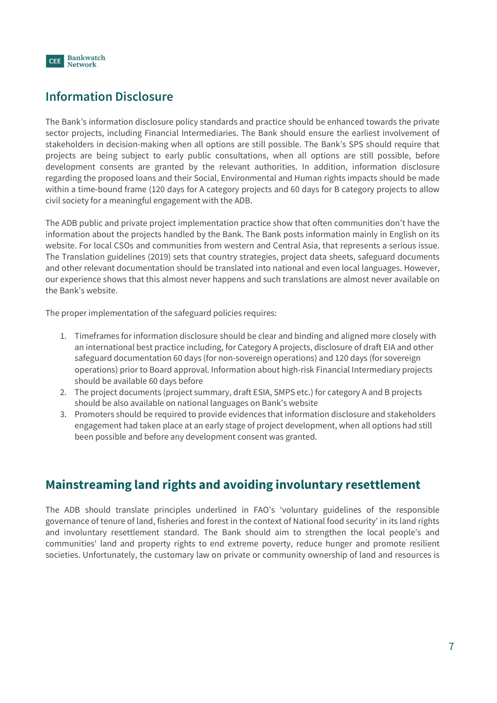

# Information Disclosure

The Bank's information disclosure policy standards and practice should be enhanced towards the private sector projects, including Financial Intermediaries. The Bank should ensure the earliest involvement of stakeholders in decision-making when all options are still possible. The Bank's SPS should require that projects are being subject to early public consultations, when all options are still possible, before development consents are granted by the relevant authorities. In addition, information disclosure regarding the proposed loans and their Social, Environmental and Human rights impacts should be made within a time-bound frame (120 days for A category projects and 60 days for B category projects to allow civil society for a meaningful engagement with the ADB.

The ADB public and private project implementation practice show that often communities don't have the information about the projects handled by the Bank. The Bank posts information mainly in English on its website. For local CSOs and communities from western and Central Asia, that represents a serious issue. The Translation guidelines (2019) sets that country strategies, project data sheets, safeguard documents and other relevant documentation should be translated into national and even local languages. However, our experience shows that this almost never happens and such translations are almost never available on the Bank's website.

The proper implementation of the safeguard policies requires:

- 1. Timeframes for information disclosure should be clear and binding and aligned more closely with an international best practice including, for Category A projects, disclosure of draft EIA and other safeguard documentation 60 days (for non-sovereign operations) and 120 days (for sovereign operations) prior to Board approval. Information about high-risk Financial Intermediary projects should be available 60 days before
- 2. The project documents (project summary, draft ESIA, SMPS etc.) for category A and B projects should be also available on national languages on Bank's website
- 3. Promoters should be required to provide evidences that information disclosure and stakeholders engagement had taken place at an early stage of project development, when all options had still been possible and before any development consent was granted.

#### Mainstreaming land rights and avoiding involuntary resettlement

The ADB should translate principles underlined in FAO's 'voluntary guidelines of the responsible governance of tenure of land, fisheries and forest in the context of National food security' in its land rights and involuntary resettlement standard. The Bank should aim to strengthen the local people's and communities' land and property rights to end extreme poverty, reduce hunger and promote resilient societies. Unfortunately, the customary law on private or community ownership of land and resources is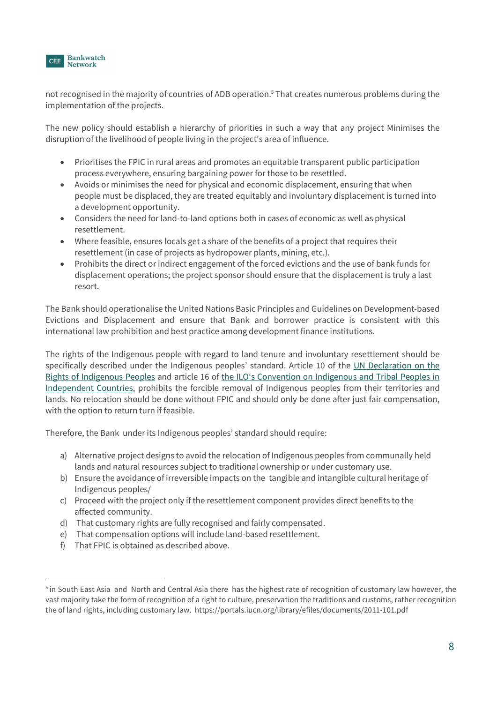

not recognised in the majority of countries of ADB operation.<sup>5</sup> That creates numerous problems during the implementation of the projects.

The new policy should establish a hierarchy of priorities in such a way that any project Minimises the disruption of the livelihood of people living in the project's area of influence.

- Prioritises the FPIC in rural areas and promotes an equitable transparent public participation process everywhere, ensuring bargaining power for those to be resettled.
- Avoids or minimises the need for physical and economic displacement, ensuring that when people must be displaced, they are treated equitably and involuntary displacement is turned into a development opportunity.
- Considers the need for land-to-land options both in cases of economic as well as physical resettlement.
- Where feasible, ensures locals get a share of the benefits of a project that requires their resettlement (in case of projects as hydropower plants, mining, etc.).
- Prohibits the direct or indirect engagement of the forced evictions and the use of bank funds for displacement operations; the project sponsor should ensure that the displacement is truly a last resort.

The Bank should operationalise the United Nations Basic Principles and Guidelines on Development-based Evictions and Displacement and ensure that Bank and borrower practice is consistent with this international law prohibition and best practice among development finance institutions.

The rights of the Indigenous people with regard to land tenure and involuntary resettlement should be specifically described under the Indigenous peoples' standard. Article 10 of the UN Declaration on the Rights of Indigenous Peoples and article 16 of the ILO's Convention on Indigenous and Tribal Peoples in Independent Countries, prohibits the forcible removal of Indigenous peoples from their territories and lands. No relocation should be done without FPIC and should only be done after just fair compensation, with the option to return turn if feasible.

Therefore, the Bank under its Indigenous peoples' standard should require:

- a) Alternative project designs to avoid the relocation of Indigenous peoples from communally held lands and natural resources subject to traditional ownership or under customary use.
- b) Ensure the avoidance of irreversible impacts on the tangible and intangible cultural heritage of Indigenous peoples/
- c) Proceed with the project only if the resettlement component provides direct benefits to the affected community.
- d) That customary rights are fully recognised and fairly compensated.
- e) That compensation options will include land-based resettlement.
- f) That FPIC is obtained as described above.

<sup>&</sup>lt;sup>5</sup> in South East Asia and North and Central Asia there has the highest rate of recognition of customary law however, the vast majority take the form of recognition of a right to culture, preservation the traditions and customs, rather recognition the of land rights, including customary law. https://portals.iucn.org/library/efiles/documents/2011-101.pdf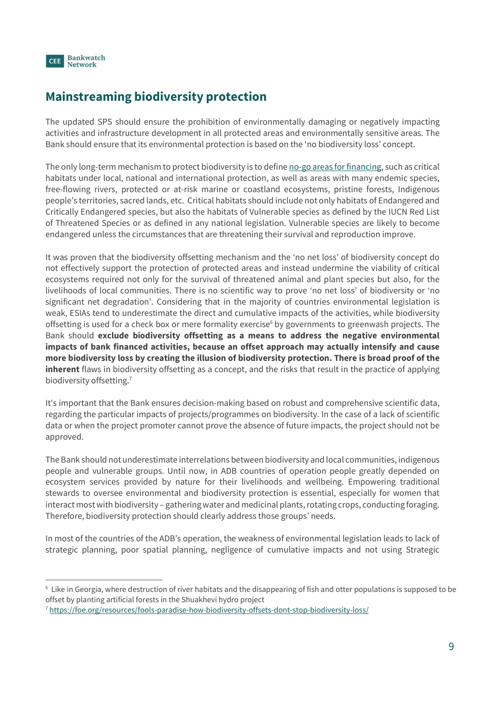

# Mainstreaming biodiversity protection

The updated SPS should ensure the prohibition of environmentally damaging or negatively impacting activities and infrastructure development in all protected areas and environmentally sensitive areas. The Bank should ensure that its environmental protection is based on the 'no biodiversity loss' concept.

The only long-term mechanism to protect biodiversity is to define no-go areas for financing, such as critical habitats under local, national and international protection, as well as areas with many endemic species, free-flowing rivers, protected or at-risk marine or coastland ecosystems, pristine forests, Indigenous people's territories, sacred lands, etc. Critical habitats should include not only habitats of Endangered and Critically Endangered species, but also the habitats of Vulnerable species as defined by the IUCN Red List of Threatened Species or as defined in any national legislation. Vulnerable species are likely to become endangered unless the circumstances that are threatening their survival and reproduction improve.

It was proven that the biodiversity offsetting mechanism and the 'no net loss' of biodiversity concept do not effectively support the protection of protected areas and instead undermine the viability of critical ecosystems required not only for the survival of threatened animal and plant species but also, for the livelihoods of local communities. There is no scientific way to prove 'no net loss' of biodiversity or 'no significant net degradation'. Considering that in the majority of countries environmental legislation is weak, ESIAs tend to underestimate the direct and cumulative impacts of the activities, while biodiversity offsetting is used for a check box or mere formality exercise<sup>6</sup> by governments to greenwash projects. The Bank should exclude biodiversity offsetting as a means to address the negative environmental impacts of bank financed activities, because an offset approach may actually intensify and cause more biodiversity loss by creating the illusion of biodiversity protection. There is broad proof of the inherent flaws in biodiversity offsetting as a concept, and the risks that result in the practice of applying biodiversity offsetting.<sup>7</sup>

 It's important that the Bank ensures decision-making based on robust and comprehensive scientific data, regarding the particular impacts of projects/programmes on biodiversity. In the case of a lack of scientific data or when the project promoter cannot prove the absence of future impacts, the project should not be approved.

The Bank should not underestimate interrelations between biodiversity and local communities, indigenous people and vulnerable groups. Until now, in ADB countries of operation people greatly depended on ecosystem services provided by nature for their livelihoods and wellbeing. Empowering traditional stewards to oversee environmental and biodiversity protection is essential, especially for women that interact most with biodiversity – gathering water and medicinal plants, rotating crops, conducting foraging. Therefore, biodiversity protection should clearly address those groups' needs.

In most of the countries of the ADB's operation, the weakness of environmental legislation leads to lack of strategic planning, poor spatial planning, negligence of cumulative impacts and not using Strategic 6

 $6$  Like in Georgia, where destruction of river habitats and the disappearing of fish and otter populations is supposed to be offset by planting artificial forests in the Shuakhevi hydro project<br><sup>7</sup> https://foe.org/resources/fools-paradise-how-biodiversity-offsets-dont-stop-biodiversity-loss/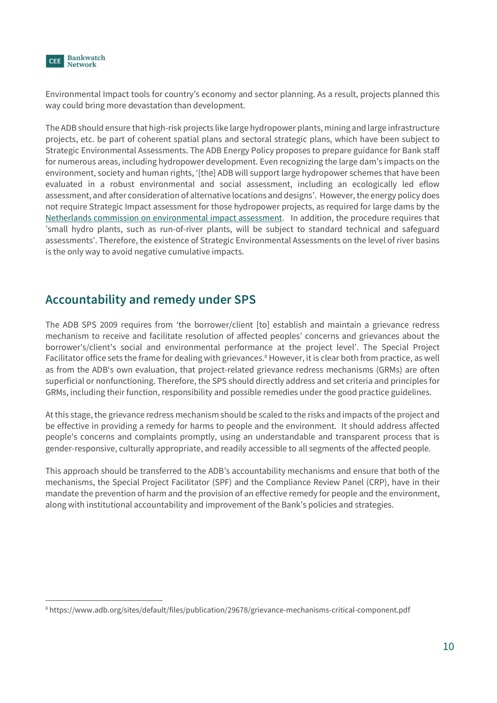

Environmental Impact tools for country's economy and sector planning. As a result, projects planned this way could bring more devastation than development.

The ADB should ensure that high-risk projects like large hydropower plants, mining and large infrastructure projects, etc. be part of coherent spatial plans and sectoral strategic plans, which have been subject to Strategic Environmental Assessments. The ADB Energy Policy proposes to prepare guidance for Bank staff for numerous areas, including hydropower development. Even recognizing the large dam's impacts on the environment, society and human rights, '[the] ADB will support large hydropower schemes that have been evaluated in a robust environmental and social assessment, including an ecologically led eflow assessment, and after consideration of alternative locations and designs'. However, the energy policy does not require Strategic Impact assessment for those hydropower projects, as required for large dams by the Netherlands commission on environmental impact assessment. In addition, the procedure requires that 'small hydro plants, such as run-of-river plants, will be subject to standard technical and safeguard assessments'. Therefore, the existence of Strategic Environmental Assessments on the level of river basins is the only way to avoid negative cumulative impacts.

#### Accountability and remedy under SPS

The ADB SPS 2009 requires from 'the borrower/client [to] establish and maintain a grievance redress mechanism to receive and facilitate resolution of affected peoples' concerns and grievances about the borrower's/client's social and environmental performance at the project level'. The Special Project Facilitator office sets the frame for dealing with grievances.<sup>8</sup> However, it is clear both from practice, as well as from the ADB's own evaluation, that project-related grievance redress mechanisms (GRMs) are often superficial or nonfunctioning. Therefore, the SPS should directly address and set criteria and principles for GRMs, including their function, responsibility and possible remedies under the good practice guidelines.

At this stage, the grievance redress mechanism should be scaled to the risks and impacts of the project and be effective in providing a remedy for harms to people and the environment. It should address affected people's concerns and complaints promptly, using an understandable and transparent process that is gender-responsive, culturally appropriate, and readily accessible to all segments of the affected people.

This approach should be transferred to the ADB's accountability mechanisms and ensure that both of the mechanisms, the Special Project Facilitator (SPF) and the Compliance Review Panel (CRP), have in their mandate the prevention of harm and the provision of an effective remedy for people and the environment, along with institutional accountability and improvement of the Bank's policies and strategies.

<sup>8</sup> https://www.adb.org/sites/default/files/publication/29678/grievance-mechanisms-critical-component.pdf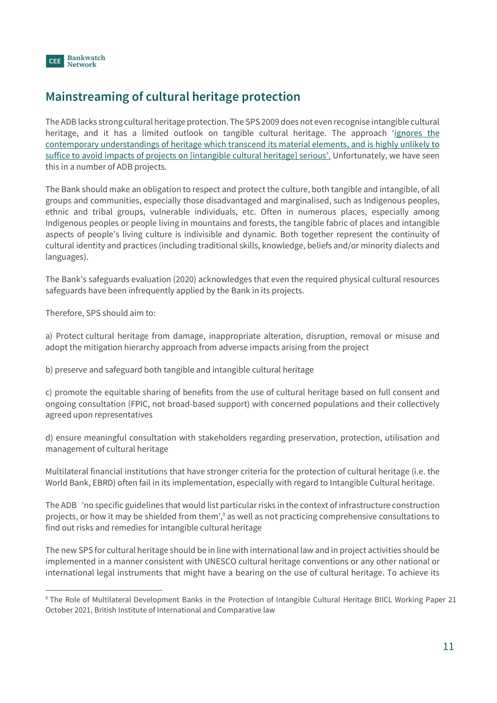

## Mainstreaming of cultural heritage protection

The ADB lacks strong cultural heritage protection. The SPS 2009 does not even recognise intangible cultural heritage, and it has a limited outlook on tangible cultural heritage. The approach 'ignores the contemporary understandings of heritage which transcend its material elements, and is highly unlikely to suffice to avoid impacts of projects on [intangible cultural heritage] serious'. Unfortunately, we have seen this in a number of ADB projects.

The Bank should make an obligation to respect and protect the culture, both tangible and intangible, of all groups and communities, especially those disadvantaged and marginalised, such as Indigenous peoples, ethnic and tribal groups, vulnerable individuals, etc. Often in numerous places, especially among Indigenous peoples or people living in mountains and forests, the tangible fabric of places and intangible aspects of people's living culture is indivisible and dynamic. Both together represent the continuity of cultural identity and practices (including traditional skills, knowledge, beliefs and/or minority dialects and languages).

The Bank's safeguards evaluation (2020) acknowledges that even the required physical cultural resources safeguards have been infrequently applied by the Bank in its projects.

Therefore, SPS should aim to:

a) Protect cultural heritage from damage, inappropriate alteration, disruption, removal or misuse and adopt the mitigation hierarchy approach from adverse impacts arising from the project

b) preserve and safeguard both tangible and intangible cultural heritage

c) promote the equitable sharing of benefits from the use of cultural heritage based on full consent and ongoing consultation (FPIC, not broad-based support) with concerned populations and their collectively agreed upon representatives

d) ensure meaningful consultation with stakeholders regarding preservation, protection, utilisation and management of cultural heritage

Multilateral financial institutions that have stronger criteria for the protection of cultural heritage (i.e. the World Bank, EBRD) often fail in its implementation, especially with regard to Intangible Cultural heritage.

The ADB 'no specific guidelines that would list particular risks in the context of infrastructure construction projects, or how it may be shielded from them',<sup>9</sup> as well as not practicing comprehensive consultations to find out risks and remedies for intangible cultural heritage

The new SPS for cultural heritage should be in line with international law and in project activities should be implemented in a manner consistent with UNESCO cultural heritage conventions or any other national or international legal instruments that might have a bearing on the use of cultural heritage. To achieve its

<sup>&</sup>lt;sup>9</sup> The Role of Multilateral Development Banks in the Protection of Intangible Cultural Heritage BIICL Working Paper 21 October 2021, British Institute of International and Comparative law